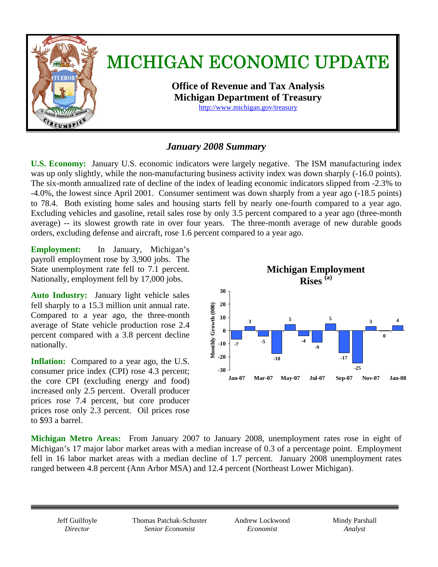

## *January 2008 Summary*

**U.S. Economy:** January U.S. economic indicators were largely negative. The ISM manufacturing index was up only slightly, while the non-manufacturing business activity index was down sharply (-16.0 points). The six-month annualized rate of decline of the index of leading economic indicators slipped from -2.3% to -4.0%, the lowest since April 2001. Consumer sentiment was down sharply from a year ago (-18.5 points) to 78.4. Both existing home sales and housing starts fell by nearly one-fourth compared to a year ago. Excluding vehicles and gasoline, retail sales rose by only 3.5 percent compared to a year ago (three-month average) -- its slowest growth rate in over four years. The three-month average of new durable goods orders, excluding defense and aircraft, rose 1.6 percent compared to a year ago.

**Employment:** In January, Michigan's payroll employment rose by 3,900 jobs. The State unemployment rate fell to 7.1 percent. Nationally, employment fell by 17,000 jobs.

**Auto Industry:** January light vehicle sales fell sharply to a 15.3 million unit annual rate. Compared to a year ago, the three-month average of State vehicle production rose 2.4 percent compared with a 3.8 percent decline nationally.

**Inflation:** Compared to a year ago, the U.S. consumer price index (CPI) rose 4.3 percent; the core CPI (excluding energy and food) increased only 2.5 percent. Overall producer prices rose 7.4 percent, but core producer prices rose only 2.3 percent. Oil prices rose to \$93 a barrel.



**Michigan Metro Areas:** From January 2007 to January 2008, unemployment rates rose in eight of Michigan's 17 major labor market areas with a median increase of 0.3 of a percentage point.Employment fell in 16 labor market areas with a median decline of 1.7 percent.January 2008 unemployment rates ranged between 4.8 percent (Ann Arbor MSA) and 12.4 percent (Northeast Lower Michigan).

Jeff Guilfoyle *Director* 

Thomas Patchak-Schuster *Senior Economist* 

Andrew Lockwood *Economist* 

Mindy Parshall *Analyst*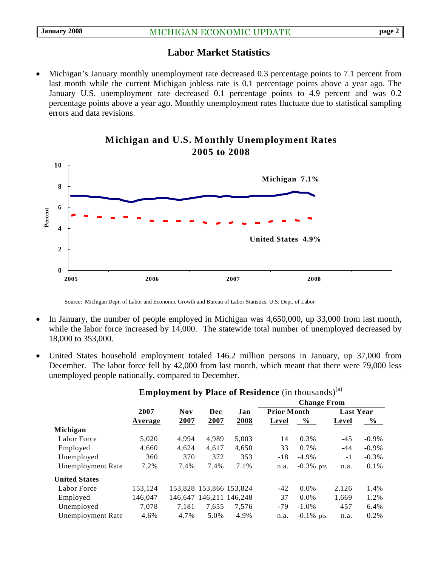### **Labor Market Statistics**

• Michigan's January monthly unemployment rate decreased 0.3 percentage points to 7.1 percent from last month while the current Michigan jobless rate is 0.1 percentage points above a year ago. The January U.S. unemployment rate decreased 0.1 percentage points to 4.9 percent and was 0.2 percentage points above a year ago. Monthly unemployment rates fluctuate due to statistical sampling errors and data revisions.



#### **Michigan and U.S. Monthly Unemployment Rates 2005 to 2008**

Source: Michigan Dept. of Labor and Economic Growth and Bureau of Labor Statistics, U.S. Dept. of Labor

- In January, the number of people employed in Michigan was 4,650,000, up 33,000 from last month, while the labor force increased by 14,000. The statewide total number of unemployed decreased by 18,000 to 353,000.
- United States household employment totaled 146.2 million persons in January, up 37,000 from December. The labor force fell by 42,000 from last month, which meant that there were 79,000 less unemployed people nationally, compared to December.

|                          |         | <b>Nov</b> | Dec                     | Jan   | <b>Change From</b> |              |                  |          |
|--------------------------|---------|------------|-------------------------|-------|--------------------|--------------|------------------|----------|
|                          | 2007    |            |                         |       | <b>Prior Month</b> |              | <b>Last Year</b> |          |
|                          | Average | 2007       | 2007                    | 2008  | Level              | $\%$         | Level            | $\%$     |
| Michigan                 |         |            |                         |       |                    |              |                  |          |
| Labor Force              | 5,020   | 4.994      | 4,989                   | 5,003 | 14                 | 0.3%         | $-45$            | $-0.9\%$ |
| Employed                 | 4,660   | 4,624      | 4.617                   | 4,650 | 33                 | $0.7\%$      | $-44$            | $-0.9\%$ |
| Unemployed               | 360     | 370        | 372                     | 353   | $-18$              | $-4.9\%$     | $-1$             | $-0.3%$  |
| <b>Unemployment Rate</b> | 7.2%    | 7.4%       | 7.4%                    | 7.1%  | n.a.               | $-0.3\%$ pts | n.a.             | $0.1\%$  |
| <b>United States</b>     |         |            |                         |       |                    |              |                  |          |
| Labor Force              | 153.124 |            | 153,828 153,866 153,824 |       | $-42$              | $0.0\%$      | 2,126            | 1.4%     |
| Employed                 | 146,047 |            | 146.647 146.211 146.248 |       | 37                 | $0.0\%$      | 1,669            | 1.2%     |
| Unemployed               | 7.078   | 7.181      | 7,655                   | 7,576 | $-79$              | $-1.0\%$     | 457              | 6.4%     |
| <b>Unemployment Rate</b> | 4.6%    | 4.7%       | 5.0%                    | 4.9%  | n.a.               | $-0.1\%$ pts | n.a.             | 0.2%     |
|                          |         |            |                         |       |                    |              |                  |          |

#### **Employment by Place of Residence** (in thousands)<sup>(a)</sup>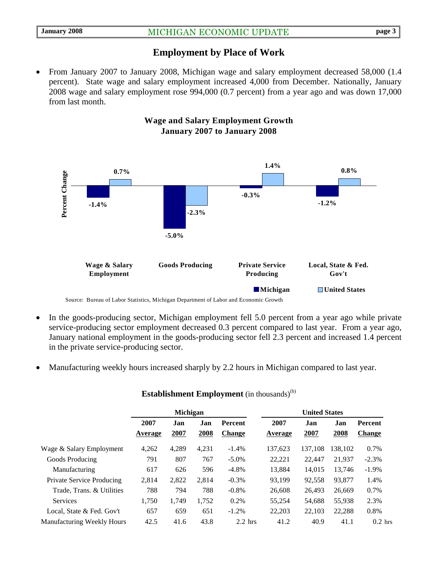#### **Employment by Place of Work**

• From January 2007 to January 2008, Michigan wage and salary employment decreased 58,000 (1.4) percent).State wage and salary employment increased 4,000 from December. Nationally, January 2008 wage and salary employment rose 994,000 (0.7 percent) from a year ago and was down 17,000 from last month.



#### **Wage and Salary Employment Growth January 2007 to January 2008**

- In the goods-producing sector, Michigan employment fell 5.0 percent from a year ago while private service-producing sector employment decreased 0.3 percent compared to last year. From a year ago, January national employment in the goods-producing sector fell 2.3 percent and increased 1.4 percent in the private service-producing sector.
- Manufacturing weekly hours increased sharply by 2.2 hours in Michigan compared to last year.

|                                  | <b>Michigan</b>        |             |             |                                 | <b>United States</b>   |             |             |                          |  |
|----------------------------------|------------------------|-------------|-------------|---------------------------------|------------------------|-------------|-------------|--------------------------|--|
|                                  | 2007<br><b>Average</b> | Jan<br>2007 | Jan<br>2008 | <b>Percent</b><br><b>Change</b> | 2007<br><b>Average</b> | Jan<br>2007 | Jan<br>2008 | Percent<br><b>Change</b> |  |
| Wage & Salary Employment         | 4,262                  | 4,289       | 4,231       | $-1.4%$                         | 137,623                | 137,108     | 138,102     | 0.7%                     |  |
| Goods Producing                  | 791                    | 807         | 767         | $-5.0\%$                        | 22,221                 | 22,447      | 21,937      | $-2.3%$                  |  |
| Manufacturing                    | 617                    | 626         | 596         | $-4.8%$                         | 13.884                 | 14,015      | 13,746      | $-1.9%$                  |  |
| <b>Private Service Producing</b> | 2,814                  | 2,822       | 2.814       | $-0.3\%$                        | 93.199                 | 92,558      | 93,877      | 1.4%                     |  |
| Trade, Trans. & Utilities        | 788                    | 794         | 788         | $-0.8%$                         | 26,608                 | 26.493      | 26,669      | 0.7%                     |  |
| Services                         | 1,750                  | 1,749       | 1,752       | 0.2%                            | 55,254                 | 54,688      | 55,938      | 2.3%                     |  |
| Local, State & Fed. Gov't        | 657                    | 659         | 651         | $-1.2%$                         | 22,203                 | 22,103      | 22,288      | 0.8%                     |  |
| Manufacturing Weekly Hours       | 42.5                   | 41.6        | 43.8        | $2.2$ hrs                       | 41.2                   | 40.9        | 41.1        | $0.2$ hrs                |  |

#### **Establishment Employment** (in thousands)<sup>(b)</sup>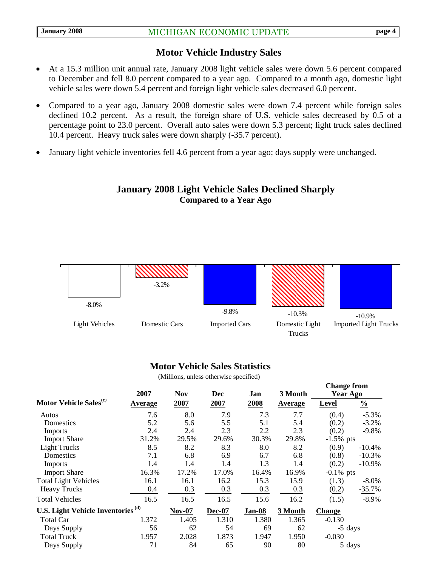#### **Motor Vehicle Industry Sales**

- At a 15.3 million unit annual rate, January 2008 light vehicle sales were down 5.6 percent compared to December and fell 8.0 percent compared to a year ago. Compared to a month ago, domestic light vehicle sales were down 5.4 percent and foreign light vehicle sales decreased 6.0 percent.
- Compared to a year ago, January 2008 domestic sales were down 7.4 percent while foreign sales declined 10.2 percent. As a result, the foreign share of U.S. vehicle sales decreased by 0.5 of a percentage point to 23.0 percent. Overall auto sales were down 5.3 percent; light truck sales declined 10.4 percent. Heavy truck sales were down sharply (-35.7 percent).
- January light vehicle inventories fell 4.6 percent from a year ago; days supply were unchanged.

#### **January 2008 Light Vehicle Sales Declined Sharply Compared to a Year Ago**



#### **Motor Vehicle Sales Statistics**

(Millions, unless otherwise specified)

|                                               | 2007           | <b>Nov</b>    | <b>Dec</b>    | Jan    | 3 Month        | <b>Change from</b><br>Year Ago |               |
|-----------------------------------------------|----------------|---------------|---------------|--------|----------------|--------------------------------|---------------|
| Motor Vehicle Sales <sup>(c)</sup>            | <u>Average</u> | 2007          | 2007          | 2008   | <b>Average</b> | Level                          | $\frac{0}{0}$ |
| Autos                                         | 7.6            | 8.0           | 7.9           | 7.3    | 7.7            | (0.4)                          | $-5.3%$       |
| Domestics                                     | 5.2            | 5.6           | 5.5           | 5.1    | 5.4            | (0.2)                          | $-3.2%$       |
| <b>Imports</b>                                | 2.4            | 2.4           | 2.3           | 2.2    | 2.3            | (0.2)                          | $-9.8%$       |
| <b>Import Share</b>                           | 31.2%          | 29.5%         | 29.6%         | 30.3%  | 29.8%          | $-1.5\%$ pts                   |               |
| <b>Light Trucks</b>                           | 8.5            | 8.2           | 8.3           | 8.0    | 8.2            | (0.9)                          | $-10.4%$      |
| Domestics                                     | 7.1            | 6.8           | 6.9           | 6.7    | 6.8            | (0.8)                          | $-10.3%$      |
| Imports                                       | 1.4            | 1.4           | 1.4           | 1.3    | 1.4            | (0.2)                          | $-10.9%$      |
| <b>Import Share</b>                           | 16.3%          | 17.2%         | 17.0%         | 16.4%  | 16.9%          | $-0.1\%$ pts                   |               |
| <b>Total Light Vehicles</b>                   | 16.1           | 16.1          | 16.2          | 15.3   | 15.9           | (1.3)                          | $-8.0\%$      |
| <b>Heavy Trucks</b>                           | 0.4            | 0.3           | 0.3           | 0.3    | 0.3            | (0.2)                          | $-35.7%$      |
| <b>Total Vehicles</b>                         | 16.5           | 16.5          | 16.5          | 15.6   | 16.2           | (1.5)                          | $-8.9\%$      |
| U.S. Light Vehicle Inventories <sup>(d)</sup> |                | <b>Nov-07</b> | <b>Dec-07</b> | Jan-08 | 3 Month        | Change                         |               |
| Total Car                                     | 1.372          | 1.405         | 1.310         | 1.380  | 1.365          | $-0.130$                       |               |
| Days Supply                                   | 56             | 62            | 54            | 69     | 62             | -5 days                        |               |
| <b>Total Truck</b>                            | 1.957          | 2.028         | 1.873         | 1.947  | 1.950          | $-0.030$                       |               |
| Days Supply                                   | 71             | 84            | 65            | 90     | 80             | 5 days                         |               |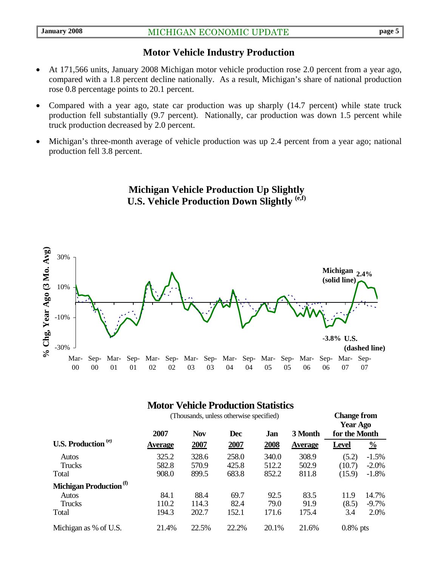### **Motor Vehicle Industry Production**

- At 171,566 units, January 2008 Michigan motor vehicle production rose 2.0 percent from a year ago, compared with a 1.8 percent decline nationally. As a result, Michigan's share of national production rose 0.8 percentage points to 20.1 percent.
- Compared with a year ago, state car production was up sharply (14.7 percent) while state truck production fell substantially (9.7 percent). Nationally, car production was down 1.5 percent while truck production decreased by 2.0 percent.
- Michigan's three-month average of vehicle production was up 2.4 percent from a year ago; national production fell 3.8 percent.

**Michigan Vehicle Production Up Slightly U.S. Vehicle Production Down Slightly (e,f)** 



### **Motor Vehicle Production Statistics**

| (Thousands, unless otherwise specified) |                |            |            |       |                |               | <b>Change from</b><br><b>Year Ago</b> |  |
|-----------------------------------------|----------------|------------|------------|-------|----------------|---------------|---------------------------------------|--|
|                                         | 2007           | <b>Nov</b> | <b>Dec</b> | Jan   | 3 Month        | for the Month |                                       |  |
| <b>U.S. Production</b> <sup>(e)</sup>   | <b>Average</b> | 2007       | 2007       | 2008  | <b>Average</b> | <b>Level</b>  | $\frac{0}{0}$                         |  |
| Autos                                   | 325.2          | 328.6      | 258.0      | 340.0 | 308.9          | (5.2)         | $-1.5%$                               |  |
| <b>Trucks</b>                           | 582.8          | 570.9      | 425.8      | 512.2 | 502.9          | (10.7)        | $-2.0\%$                              |  |
| Total                                   | 908.0          | 899.5      | 683.8      | 852.2 | 811.8          | (15.9)        | $-1.8%$                               |  |
| Michigan Production <sup>(f)</sup>      |                |            |            |       |                |               |                                       |  |
| Autos                                   | 84.1           | 88.4       | 69.7       | 92.5  | 83.5           | 11.9          | 14.7%                                 |  |
| Trucks                                  | 110.2          | 114.3      | 82.4       | 79.0  | 91.9           | (8.5)         | $-9.7\%$                              |  |
| Total                                   | 194.3          | 202.7      | 152.1      | 171.6 | 175.4          | 3.4           | 2.0%                                  |  |
| Michigan as % of U.S.                   | 21.4%          | 22.5%      | 22.2%      | 20.1% | 21.6%          | $0.8\%$ pts   |                                       |  |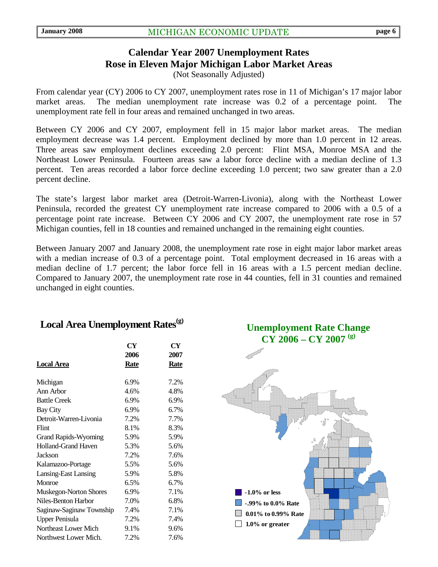# **Calendar Year 2007 Unemployment Rates Rose in Eleven Major Michigan Labor Market Areas**

(Not Seasonally Adjusted)

From calendar year (CY) 2006 to CY 2007, unemployment rates rose in 11 of Michigan's 17 major labor market areas. The median unemployment rate increase was 0.2 of a percentage point. The unemployment rate fell in four areas and remained unchanged in two areas.

Between CY 2006 and CY 2007, employment fell in 15 major labor market areas. The median employment decrease was 1.4 percent. Employment declined by more than 1.0 percent in 12 areas. Three areas saw employment declines exceeding 2.0 percent: Flint MSA, Monroe MSA and the Northeast Lower Peninsula. Fourteen areas saw a labor force decline with a median decline of 1.3 percent. Ten areas recorded a labor force decline exceeding 1.0 percent; two saw greater than a 2.0 percent decline.

The state's largest labor market area (Detroit-Warren-Livonia), along with the Northeast Lower Peninsula, recorded the greatest CY unemployment rate increase compared to 2006 with a 0.5 of a percentage point rate increase. Between CY 2006 and CY 2007, the unemployment rate rose in 57 Michigan counties, fell in 18 counties and remained unchanged in the remaining eight counties.

Between January 2007 and January 2008, the unemployment rate rose in eight major labor market areas with a median increase of 0.3 of a percentage point. Total employment decreased in 16 areas with a median decline of 1.7 percent; the labor force fell in 16 areas with a 1.5 percent median decline. Compared to January 2007, the unemployment rate rose in 44 counties, fell in 31 counties and remained unchanged in eight counties.

## Local Area Unemployment Rates<sup>(g)</sup>

|                               | CY                  | CY                  |
|-------------------------------|---------------------|---------------------|
| <b>Local Area</b>             | 2006<br><u>Rate</u> | 2007<br><u>Rate</u> |
| Michigan                      | 6.9%                | 7.2%                |
| Ann Arbor                     | 4.6%                | 4.8%                |
| <b>Battle Creek</b>           | 6.9%                | 6.9%                |
| <b>Bay City</b>               | 6.9%                | 6.7%                |
| Detroit-Warren-Livonia        | 7.2%                | 7.7%                |
| Flint                         | 8.1%                | 8.3%                |
| <b>Grand Rapids-Wyoming</b>   | 5.9%                | 5.9%                |
| <b>Holland-Grand Haven</b>    | 5.3%                | 5.6%                |
| Jackson                       | 7.2%                | 7.6%                |
| Kalamazoo-Portage             | 5.5%                | 5.6%                |
| Lansing-East Lansing          | 5.9%                | 5.8%                |
| Monroe                        | 6.5%                | 6.7%                |
| <b>Muskegon-Norton Shores</b> | 6.9%                | 7.1%                |
| Niles-Benton Harbor           | 7.0%                | 6.8%                |
| Saginaw-Saginaw Township      | 7.4%                | 7.1%                |
| <b>Upper Penisula</b>         | 7.2%                | 7.4%                |
| Northeast Lower Mich          | 9.1%                | 9.6%                |
| Northwest Lower Mich.         | 7.2%                | 7.6%                |

**Unemployment Rate Change CY 2006 – CY 2007 (g)**

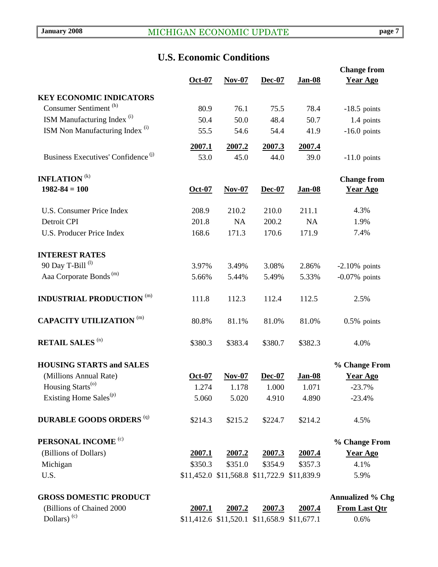# **U.S. Economic Conditions**

|                                                | $Oct-07$ | $Nov-07$                                    | Dec-07  | <b>Jan-08</b>                               | <b>Change from</b><br><b>Year Ago</b> |
|------------------------------------------------|----------|---------------------------------------------|---------|---------------------------------------------|---------------------------------------|
| <b>KEY ECONOMIC INDICATORS</b>                 |          |                                             |         |                                             |                                       |
| Consumer Sentiment <sup>(h)</sup>              | 80.9     | 76.1                                        | 75.5    | 78.4                                        | $-18.5$ points                        |
| ISM Manufacturing Index <sup>(i)</sup>         | 50.4     | 50.0                                        | 48.4    | 50.7                                        | 1.4 points                            |
| ISM Non Manufacturing Index <sup>(i)</sup>     | 55.5     | 54.6                                        | 54.4    | 41.9                                        | $-16.0$ points                        |
|                                                | 2007.1   | 2007.2                                      | 2007.3  | 2007.4                                      |                                       |
| Business Executives' Confidence <sup>(j)</sup> | 53.0     | 45.0                                        | 44.0    | 39.0                                        | $-11.0$ points                        |
| <b>INFLATION</b> <sup>(k)</sup>                |          |                                             |         |                                             | <b>Change from</b>                    |
| $1982 - 84 = 100$                              | Oct-07   | $Nov-07$                                    | Dec-07  | <b>Jan-08</b>                               | <b>Year Ago</b>                       |
| <b>U.S. Consumer Price Index</b>               | 208.9    | 210.2                                       | 210.0   | 211.1                                       | 4.3%                                  |
| Detroit CPI                                    | 201.8    | NA                                          | 200.2   | <b>NA</b>                                   | 1.9%                                  |
| <b>U.S. Producer Price Index</b>               | 168.6    | 171.3                                       | 170.6   | 171.9                                       | 7.4%                                  |
| <b>INTEREST RATES</b>                          |          |                                             |         |                                             |                                       |
| 90 Day T-Bill <sup>(l)</sup>                   | 3.97%    | 3.49%                                       | 3.08%   | 2.86%                                       | $-2.10\%$ points                      |
| Aaa Corporate Bonds <sup>(m)</sup>             | 5.66%    | 5.44%                                       | 5.49%   | 5.33%                                       | $-0.07\%$ points                      |
| <b>INDUSTRIAL PRODUCTION</b><br>(m)            | 111.8    | 112.3                                       | 112.4   | 112.5                                       | 2.5%                                  |
| <b>CAPACITY UTILIZATION</b> (m)                | 80.8%    | 81.1%                                       | 81.0%   | 81.0%                                       | $0.5\%$ points                        |
| <b>RETAIL SALES (n)</b>                        | \$380.3  | \$383.4                                     | \$380.7 | \$382.3                                     | 4.0%                                  |
| <b>HOUSING STARTS and SALES</b>                |          |                                             |         |                                             | % Change From                         |
| (Millions Annual Rate)                         | Oct-07   | $Nov-07$                                    | Dec-07  | Jan-08                                      | <b>Year Ago</b>                       |
| Housing Starts <sup>(o)</sup>                  | 1.274    | 1.178                                       | 1.000   | 1.071                                       | $-23.7%$                              |
| Existing Home Sales <sup>(p)</sup>             | 5.060    | 5.020                                       | 4.910   | 4.890                                       | $-23.4%$                              |
| <b>DURABLE GOODS ORDERS (q)</b>                | \$214.3  | \$215.2                                     | \$224.7 | \$214.2                                     | 4.5%                                  |
| PERSONAL INCOME <sup>(c)</sup>                 |          |                                             |         |                                             | % Change From                         |
| (Billions of Dollars)                          | 2007.1   | 2007.2                                      | 2007.3  | 2007.4                                      | <b>Year Ago</b>                       |
| Michigan                                       | \$350.3  | \$351.0                                     | \$354.9 | \$357.3                                     | 4.1%                                  |
| U.S.                                           |          |                                             |         | \$11,452.0 \$11,568.8 \$11,722.9 \$11,839.9 | 5.9%                                  |
| <b>GROSS DOMESTIC PRODUCT</b>                  |          |                                             |         |                                             | <b>Annualized % Chg</b>               |
| (Billions of Chained 2000                      | 2007.1   | 2007.2                                      | 2007.3  | 2007.4                                      | <b>From Last Qtr</b>                  |
| Dollars) <sup>(c)</sup>                        |          | \$11,412.6 \$11,520.1 \$11,658.9 \$11,677.1 |         |                                             | 0.6%                                  |